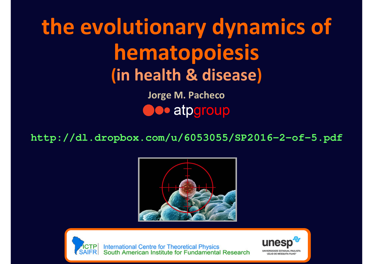# **the evolutionary dynamics of hematopoiesis(in health & disease)**

**Jorge M. Pacheco**atpgroup

**http://dl.dropbox.com/u/6053055/SP2016-2-of-5.pdf**





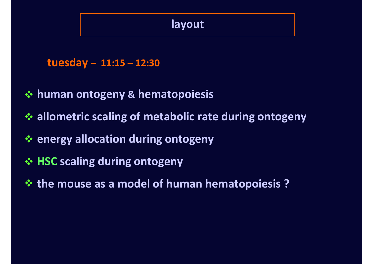#### **layout**

```
tuesday – 11:15 – 12:30
```
- **human ontogeny & hematopoiesis**
- **allometric scaling of metabolic rate during ontogeny**
- **energy allocation during ontogeny**
- **HSC scaling during ontogeny**
- **the mouse as a model of human hematopoiesis ?**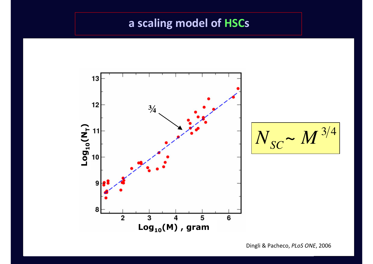#### **a scaling model of HSCs**



Dingli & Pacheco, *PLoS ONE*, 2006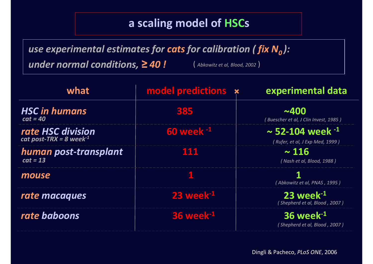#### **a scaling model of HSCs**

*use experimental estimates for cats for calibration ( fix N0 ):*

*under normal conditions,≥ 40 !* 

( *Abkowitz et al, Blood, 2002* )

| what                                                     | model predictions x         | experimental data                                             |
|----------------------------------------------------------|-----------------------------|---------------------------------------------------------------|
| <b>HSC in humans</b><br>$cat = 40$                       | 385                         | ~1.400<br>(Buescher et al, J Clin Invest, 1985)               |
| rate HSC division<br>cat post-TRX = 8 week <sup>-1</sup> | <b>60 week -1</b>           | $\sim$ 52-104 week $^{-1}$<br>(Rufer, et al, J Exp Med, 1999) |
| human post-transplant<br>$cat = 13$                      | 111                         | $\sim 116$<br>(Nash et al, Blood, 1988)                       |
| mouse                                                    |                             | (Abkowitz et al, PNAS , 1995 )                                |
| rate macaques                                            | $23$ week $^{-1}$           | $23$ week $^{-1}$<br>(Shepherd et al, Blood, 2007)            |
| rate baboons                                             | <b>36 week<sup>-1</sup></b> | $36$ week $^{-1}$<br>(Shepherd et al, Blood, 2007)            |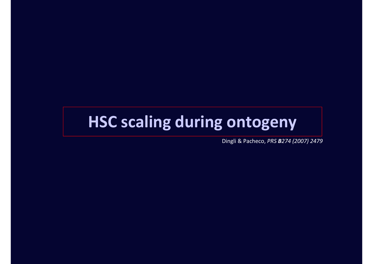# **HSC scaling during ontogeny**

Dingli & Pacheco, *PRS B274 (2007) 2479*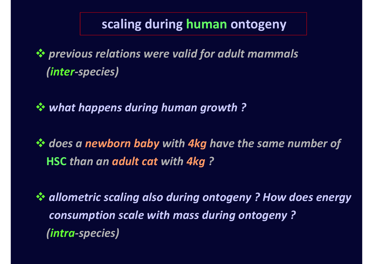# **scaling during human ontogeny**

 *previous relations were valid for adult mammals (inter-species)*

*what happens during human growth ?* 

 *does a newborn baby with 4kg have the same number of* **HSC** *than an adult cat with 4kg ?* 

 *allometric scaling also during ontogeny ? How does energy consumption scale with mass during ontogeny ? (intra-species)*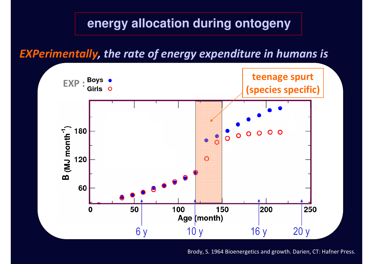*EXPerimentally, the rate of energy expenditure in humans is*



Brody, S. 1964 Bioenergetics and growth. Darien, CT: Hafner Press.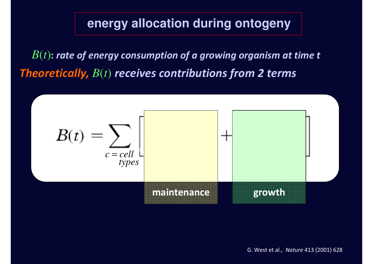*B*(*t*)**:** *rate of energy consumption of a growing organism at time tTheoretically, B*(*t*) *receives contributions from 2 terms*

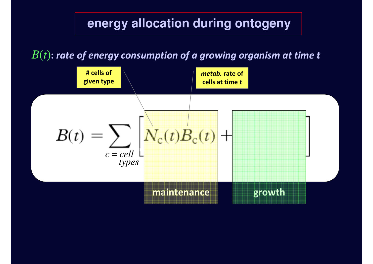#### *B*(*t*)**:** *rate of energy consumption of a growing organism at time t*

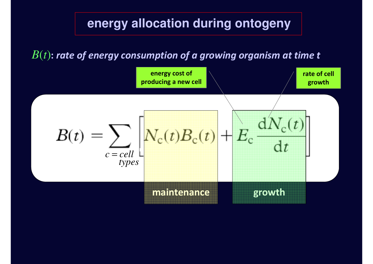#### *B*(*t*)**:** *rate of energy consumption of a growing organism at time t*

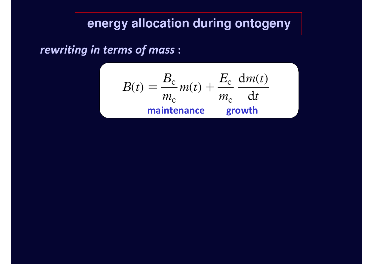*rewriting in terms of mass* **:**

$$
B(t) = \frac{B_c}{m_c} m(t) + \frac{E_c}{m_c} \frac{dm(t)}{dt}
$$
  
maintenance growth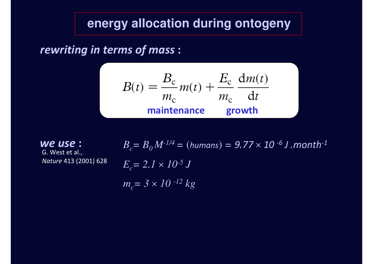*rewriting in terms of mass* **:**

$$
B(t) = \frac{B_c}{m_c} m(t) + \frac{E_c}{m_c} \frac{dm(t)}{dt}
$$
  
maintenance growth

G. West et al., *Nature* 413 (2001) 628*we use* **:**

**:**  $B_c = B_0 M^{-1/4} = (human) = 9.77 \times 10^{-6} \text{ J}$  .month<sup>-1</sup>  $E_c$  = 2.1  $\times$  10<sup>-5</sup> J *m<sup>c</sup>= 3*  ä *<sup>10</sup>-12 kg*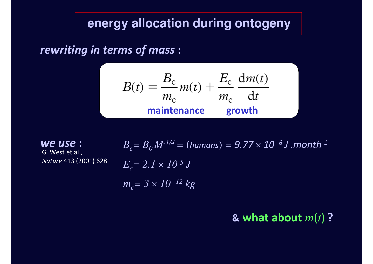*rewriting in terms of mass* **:**

$$
B(t) = \frac{B_c}{m_c} m(t) + \frac{E_c}{m_c} \frac{dm(t)}{dt}
$$
  
maintenance growth

G. West et al., *Nature* 413 (2001) 628*we use* **:**

 $B_c$ =  $B_0 M$ <sup>-1/4</sup> = (humans) =  $9.77 \times 10$  <sup>-6</sup> J .month<sup>-1</sup>  $E_c$  = 2.1  $\times$  10<sup>-5</sup> J *m<sup>c</sup>= 3*  ä *<sup>10</sup>-12 kg*

# **& what about**  *m*(*t*)**?**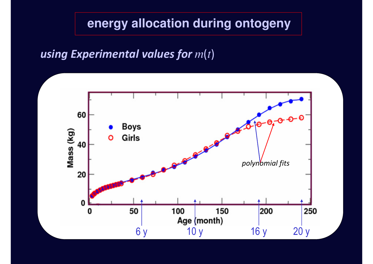#### *using Experimental values form*(*t*)

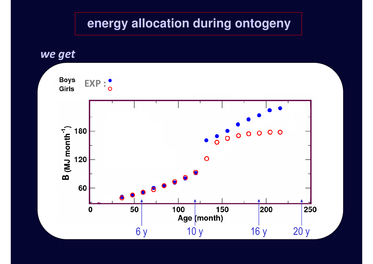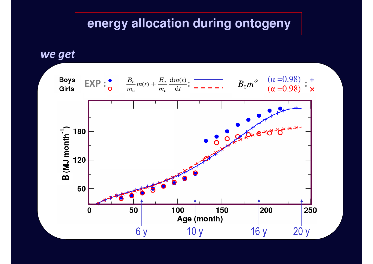*we get*

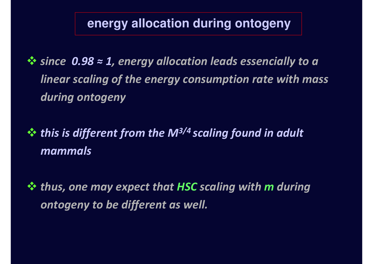*since 0.98 ≈ 1, energy allocation leads essencially to a linear scaling of the energy consumption rate with massduring ontogeny*

 *this is different from the M3/4 scaling found in adult mammals*

 *thus, one may expect that HSC scaling with m during ontogeny to be different as well.*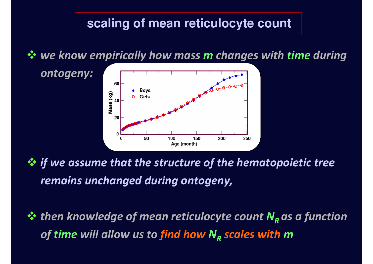# **scaling of mean reticulocyte count**

*we know empirically how mass m changes with time during*



*ontogeny:*

 *if we assume that the structure of the hematopoietic tree remains unchanged during ontogeny,* 

 *then knowledge of mean reticulocyte count N<sup>R</sup> as a function of time will allow us to find how <sup>N</sup><sup>R</sup> scales with <sup>m</sup>*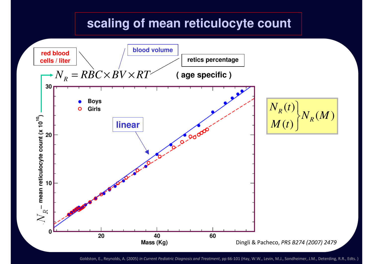# **scaling of mean reticulocyte count**



Goldston, E., Reynolds, A. (2005) *in Current Pediatric Diagnosis and Treatment*, pp 66-101 (Hay, W.W., Levin, M.J., Sondheimer, J.M., Deterding, R.R., Edts. )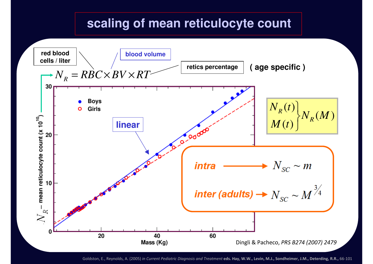# **scaling of mean reticulocyte count**



Goldston, E., Reynolds, A. (2005) *in Current Pediatric Diagnosis and Treatment* **eds. Hay, W.W., Levin, M.J., Sondheimer, J.M., Deterding, R.R.,** 66-101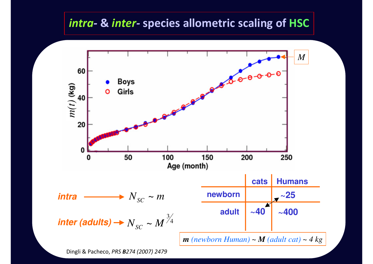### *intra-* **&** *inter-* **species allometric scaling of HSC**



Dingli & Pacheco, *PRS B274 (2007) 2479*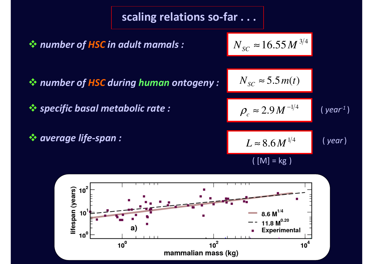